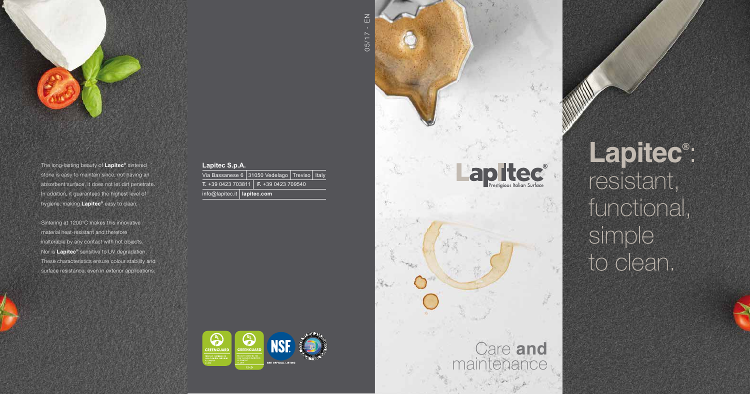## **Lapitec S.p.A.**

Via Bassanese 6 31050 Vedelago Treviso | Italy **T.** +39 0423 703811 **F.** +39 0423 709540 info@lapitec.it **lapitec.com**



**Lapitec ®** : resistant, functional, simple to clean.



The long-lasting beauty of **Lapitec ®** sintered stone is easy to maintain since, not having an absorbent surface, it does not let dirt penetrate. In addition, it guarantees the highest level of hygiene, making **Lapitec ®** easy to clean.

Sintering at 1200°C makes this innovative material heat-resistant and therefore inalterable by any contact with hot objects. Nor is **Lapitec ®** sensitive to UV degradation. These characteristics ensure colour stability and surface resistance, even in exterior applications.





apitec<sup>®</sup>